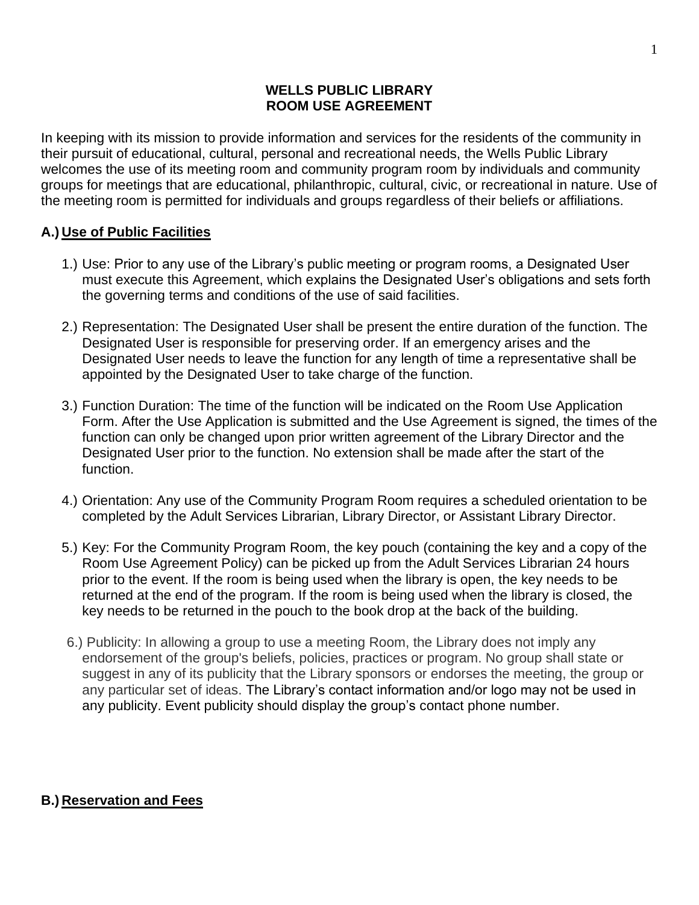#### **WELLS PUBLIC LIBRARY ROOM USE AGREEMENT**

In keeping with its mission to provide information and services for the residents of the community in their pursuit of educational, cultural, personal and recreational needs, the Wells Public Library welcomes the use of its meeting room and community program room by individuals and community groups for meetings that are educational, philanthropic, cultural, civic, or recreational in nature. Use of the meeting room is permitted for individuals and groups regardless of their beliefs or affiliations.

# **A.) Use of Public Facilities**

- 1.) Use: Prior to any use of the Library's public meeting or program rooms, a Designated User must execute this Agreement, which explains the Designated User's obligations and sets forth the governing terms and conditions of the use of said facilities.
- 2.) Representation: The Designated User shall be present the entire duration of the function. The Designated User is responsible for preserving order. If an emergency arises and the Designated User needs to leave the function for any length of time a representative shall be appointed by the Designated User to take charge of the function.
- 3.) Function Duration: The time of the function will be indicated on the Room Use Application Form. After the Use Application is submitted and the Use Agreement is signed, the times of the function can only be changed upon prior written agreement of the Library Director and the Designated User prior to the function. No extension shall be made after the start of the function.
- 4.) Orientation: Any use of the Community Program Room requires a scheduled orientation to be completed by the Adult Services Librarian, Library Director, or Assistant Library Director.
- 5.) Key: For the Community Program Room, the key pouch (containing the key and a copy of the Room Use Agreement Policy) can be picked up from the Adult Services Librarian 24 hours prior to the event. If the room is being used when the library is open, the key needs to be returned at the end of the program. If the room is being used when the library is closed, the key needs to be returned in the pouch to the book drop at the back of the building.
- 6.) Publicity: In allowing a group to use a meeting Room, the Library does not imply any endorsement of the group's beliefs, policies, practices or program. No group shall state or suggest in any of its publicity that the Library sponsors or endorses the meeting, the group or any particular set of ideas. The Library's contact information and/or logo may not be used in any publicity. Event publicity should display the group's contact phone number.

# **B.) Reservation and Fees**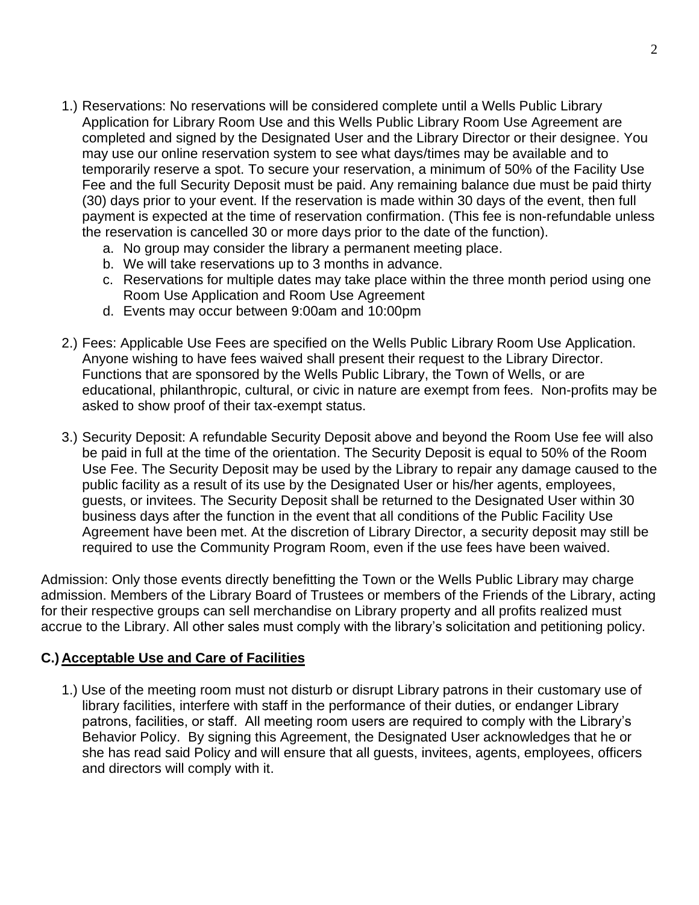- 1.) Reservations: No reservations will be considered complete until a Wells Public Library Application for Library Room Use and this Wells Public Library Room Use Agreement are completed and signed by the Designated User and the Library Director or their designee. You may use our online reservation system to see what days/times may be available and to temporarily reserve a spot. To secure your reservation, a minimum of 50% of the Facility Use Fee and the full Security Deposit must be paid. Any remaining balance due must be paid thirty (30) days prior to your event. If the reservation is made within 30 days of the event, then full payment is expected at the time of reservation confirmation. (This fee is non-refundable unless the reservation is cancelled 30 or more days prior to the date of the function).
	- a. No group may consider the library a permanent meeting place.
	- b. We will take reservations up to 3 months in advance.
	- c. Reservations for multiple dates may take place within the three month period using one Room Use Application and Room Use Agreement
	- d. Events may occur between 9:00am and 10:00pm
- 2.) Fees: Applicable Use Fees are specified on the Wells Public Library Room Use Application. Anyone wishing to have fees waived shall present their request to the Library Director. Functions that are sponsored by the Wells Public Library, the Town of Wells, or are educational, philanthropic, cultural, or civic in nature are exempt from fees. Non-profits may be asked to show proof of their tax-exempt status.
- 3.) Security Deposit: A refundable Security Deposit above and beyond the Room Use fee will also be paid in full at the time of the orientation. The Security Deposit is equal to 50% of the Room Use Fee. The Security Deposit may be used by the Library to repair any damage caused to the public facility as a result of its use by the Designated User or his/her agents, employees, guests, or invitees. The Security Deposit shall be returned to the Designated User within 30 business days after the function in the event that all conditions of the Public Facility Use Agreement have been met. At the discretion of Library Director, a security deposit may still be required to use the Community Program Room, even if the use fees have been waived.

Admission: Only those events directly benefitting the Town or the Wells Public Library may charge admission. Members of the Library Board of Trustees or members of the Friends of the Library, acting for their respective groups can sell merchandise on Library property and all profits realized must accrue to the Library. All other sales must comply with the library's solicitation and petitioning policy.

# **C.) Acceptable Use and Care of Facilities**

1.) Use of the meeting room must not disturb or disrupt Library patrons in their customary use of library facilities, interfere with staff in the performance of their duties, or endanger Library patrons, facilities, or staff. All meeting room users are required to comply with the Library's Behavior Policy. By signing this Agreement, the Designated User acknowledges that he or she has read said Policy and will ensure that all guests, invitees, agents, employees, officers and directors will comply with it.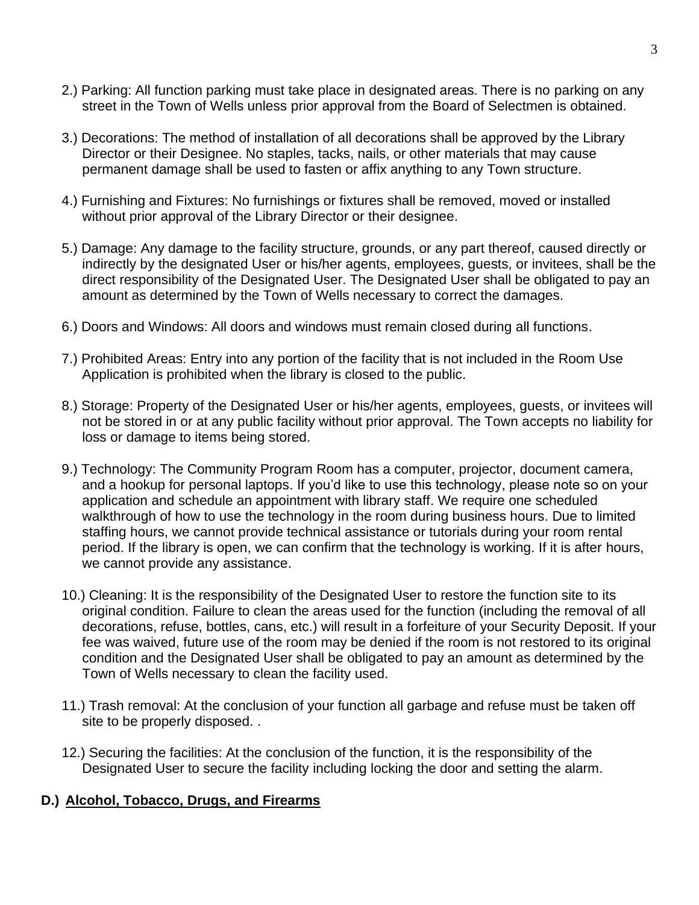- 2.) Parking: All function parking must take place in designated areas. There is no parking on any street in the Town of Wells unless prior approval from the Board of Selectmen is obtained.
- 3.) Decorations: The method of installation of all decorations shall be approved by the Library Director or their Designee. No staples, tacks, nails, or other materials that may cause permanent damage shall be used to fasten or affix anything to any Town structure.
- 4.) Furnishing and Fixtures: No furnishings or fixtures shall be removed, moved or installed without prior approval of the Library Director or their designee.
- 5.) Damage: Any damage to the facility structure, grounds, or any part thereof, caused directly or indirectly by the designated User or his/her agents, employees, guests, or invitees, shall be the direct responsibility of the Designated User. The Designated User shall be obligated to pay an amount as determined by the Town of Wells necessary to correct the damages.
- 6.) Doors and Windows: All doors and windows must remain closed during all functions.
- 7.) Prohibited Areas: Entry into any portion of the facility that is not included in the Room Use Application is prohibited when the library is closed to the public.
- 8.) Storage: Property of the Designated User or his/her agents, employees, guests, or invitees will not be stored in or at any public facility without prior approval. The Town accepts no liability for loss or damage to items being stored.
- 9.) Technology: The Community Program Room has a computer, projector, document camera, and a hookup for personal laptops. If you'd like to use this technology, please note so on your application and schedule an appointment with library staff. We require one scheduled walkthrough of how to use the technology in the room during business hours. Due to limited staffing hours, we cannot provide technical assistance or tutorials during your room rental period. If the library is open, we can confirm that the technology is working. If it is after hours, we cannot provide any assistance.
- 10.) Cleaning: It is the responsibility of the Designated User to restore the function site to its original condition. Failure to clean the areas used for the function (including the removal of all decorations, refuse, bottles, cans, etc.) will result in a forfeiture of your Security Deposit. If your fee was waived, future use of the room may be denied if the room is not restored to its original condition and the Designated User shall be obligated to pay an amount as determined by the Town of Wells necessary to clean the facility used.
- 11.) Trash removal: At the conclusion of your function all garbage and refuse must be taken off site to be properly disposed. .
- 12.) Securing the facilities: At the conclusion of the function, it is the responsibility of the Designated User to secure the facility including locking the door and setting the alarm.

#### **D.) Alcohol, Tobacco, Drugs, and Firearms**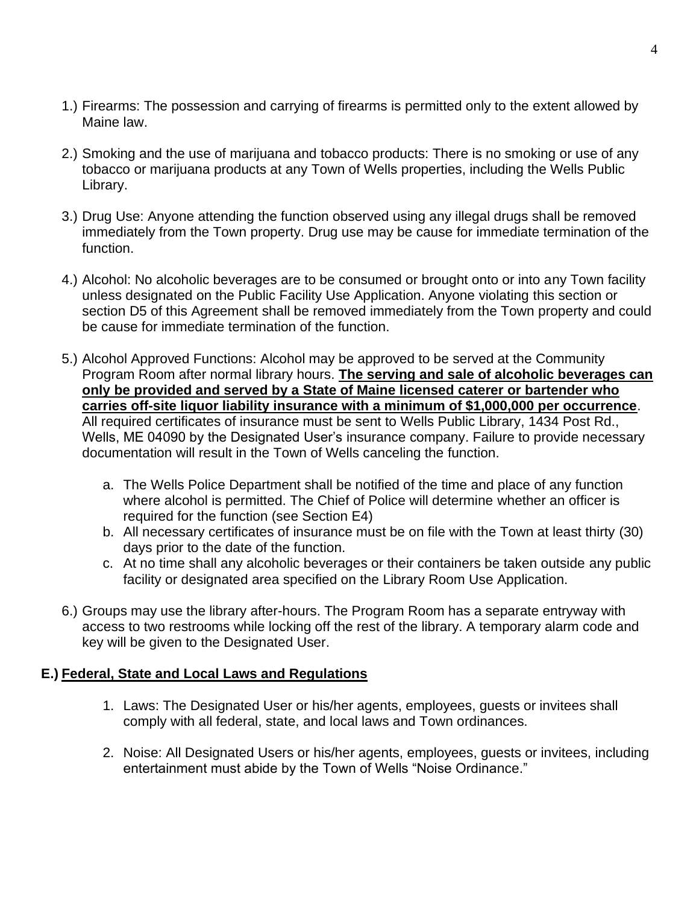- 1.) Firearms: The possession and carrying of firearms is permitted only to the extent allowed by Maine law.
- 2.) Smoking and the use of marijuana and tobacco products: There is no smoking or use of any tobacco or marijuana products at any Town of Wells properties, including the Wells Public Library.
- 3.) Drug Use: Anyone attending the function observed using any illegal drugs shall be removed immediately from the Town property. Drug use may be cause for immediate termination of the function.
- 4.) Alcohol: No alcoholic beverages are to be consumed or brought onto or into any Town facility unless designated on the Public Facility Use Application. Anyone violating this section or section D5 of this Agreement shall be removed immediately from the Town property and could be cause for immediate termination of the function.
- 5.) Alcohol Approved Functions: Alcohol may be approved to be served at the Community Program Room after normal library hours. **The serving and sale of alcoholic beverages can only be provided and served by a State of Maine licensed caterer or bartender who carries off-site liquor liability insurance with a minimum of \$1,000,000 per occurrence**. All required certificates of insurance must be sent to Wells Public Library, 1434 Post Rd., Wells, ME 04090 by the Designated User's insurance company. Failure to provide necessary documentation will result in the Town of Wells canceling the function.
	- a. The Wells Police Department shall be notified of the time and place of any function where alcohol is permitted. The Chief of Police will determine whether an officer is required for the function (see Section E4)
	- b. All necessary certificates of insurance must be on file with the Town at least thirty (30) days prior to the date of the function.
	- c. At no time shall any alcoholic beverages or their containers be taken outside any public facility or designated area specified on the Library Room Use Application.
- 6.) Groups may use the library after-hours. The Program Room has a separate entryway with access to two restrooms while locking off the rest of the library. A temporary alarm code and key will be given to the Designated User.

# **E.) Federal, State and Local Laws and Regulations**

- 1. Laws: The Designated User or his/her agents, employees, guests or invitees shall comply with all federal, state, and local laws and Town ordinances.
- 2. Noise: All Designated Users or his/her agents, employees, guests or invitees, including entertainment must abide by the Town of Wells "Noise Ordinance."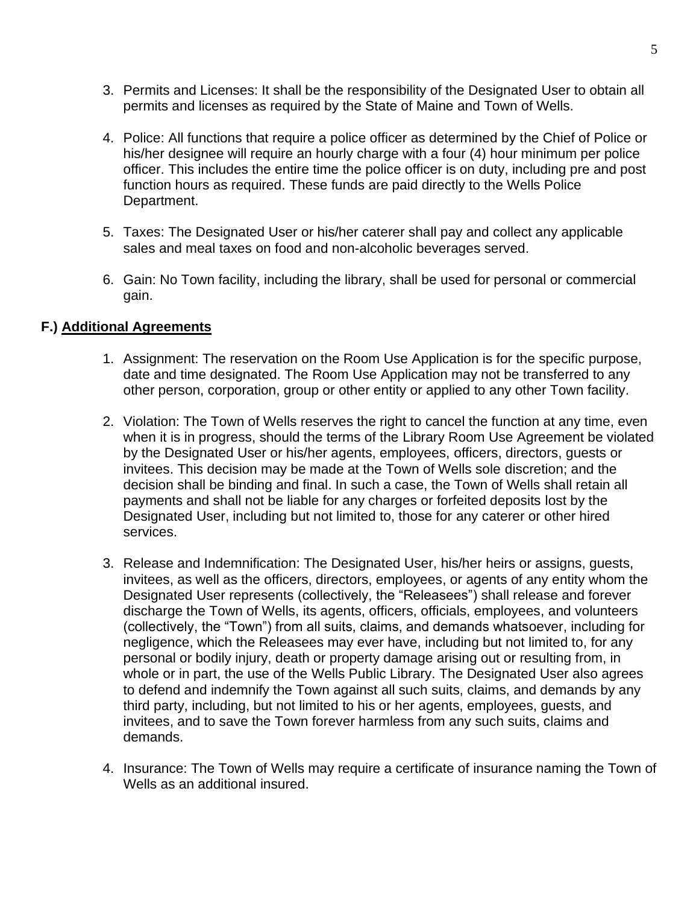- 3. Permits and Licenses: It shall be the responsibility of the Designated User to obtain all permits and licenses as required by the State of Maine and Town of Wells.
- 4. Police: All functions that require a police officer as determined by the Chief of Police or his/her designee will require an hourly charge with a four (4) hour minimum per police officer. This includes the entire time the police officer is on duty, including pre and post function hours as required. These funds are paid directly to the Wells Police Department.
- 5. Taxes: The Designated User or his/her caterer shall pay and collect any applicable sales and meal taxes on food and non-alcoholic beverages served.
- 6. Gain: No Town facility, including the library, shall be used for personal or commercial gain.

#### **F.) Additional Agreements**

- 1. Assignment: The reservation on the Room Use Application is for the specific purpose, date and time designated. The Room Use Application may not be transferred to any other person, corporation, group or other entity or applied to any other Town facility.
- 2. Violation: The Town of Wells reserves the right to cancel the function at any time, even when it is in progress, should the terms of the Library Room Use Agreement be violated by the Designated User or his/her agents, employees, officers, directors, guests or invitees. This decision may be made at the Town of Wells sole discretion; and the decision shall be binding and final. In such a case, the Town of Wells shall retain all payments and shall not be liable for any charges or forfeited deposits lost by the Designated User, including but not limited to, those for any caterer or other hired services.
- 3. Release and Indemnification: The Designated User, his/her heirs or assigns, guests, invitees, as well as the officers, directors, employees, or agents of any entity whom the Designated User represents (collectively, the "Releasees") shall release and forever discharge the Town of Wells, its agents, officers, officials, employees, and volunteers (collectively, the "Town") from all suits, claims, and demands whatsoever, including for negligence, which the Releasees may ever have, including but not limited to, for any personal or bodily injury, death or property damage arising out or resulting from, in whole or in part, the use of the Wells Public Library. The Designated User also agrees to defend and indemnify the Town against all such suits, claims, and demands by any third party, including, but not limited to his or her agents, employees, guests, and invitees, and to save the Town forever harmless from any such suits, claims and demands.
- 4. Insurance: The Town of Wells may require a certificate of insurance naming the Town of Wells as an additional insured.